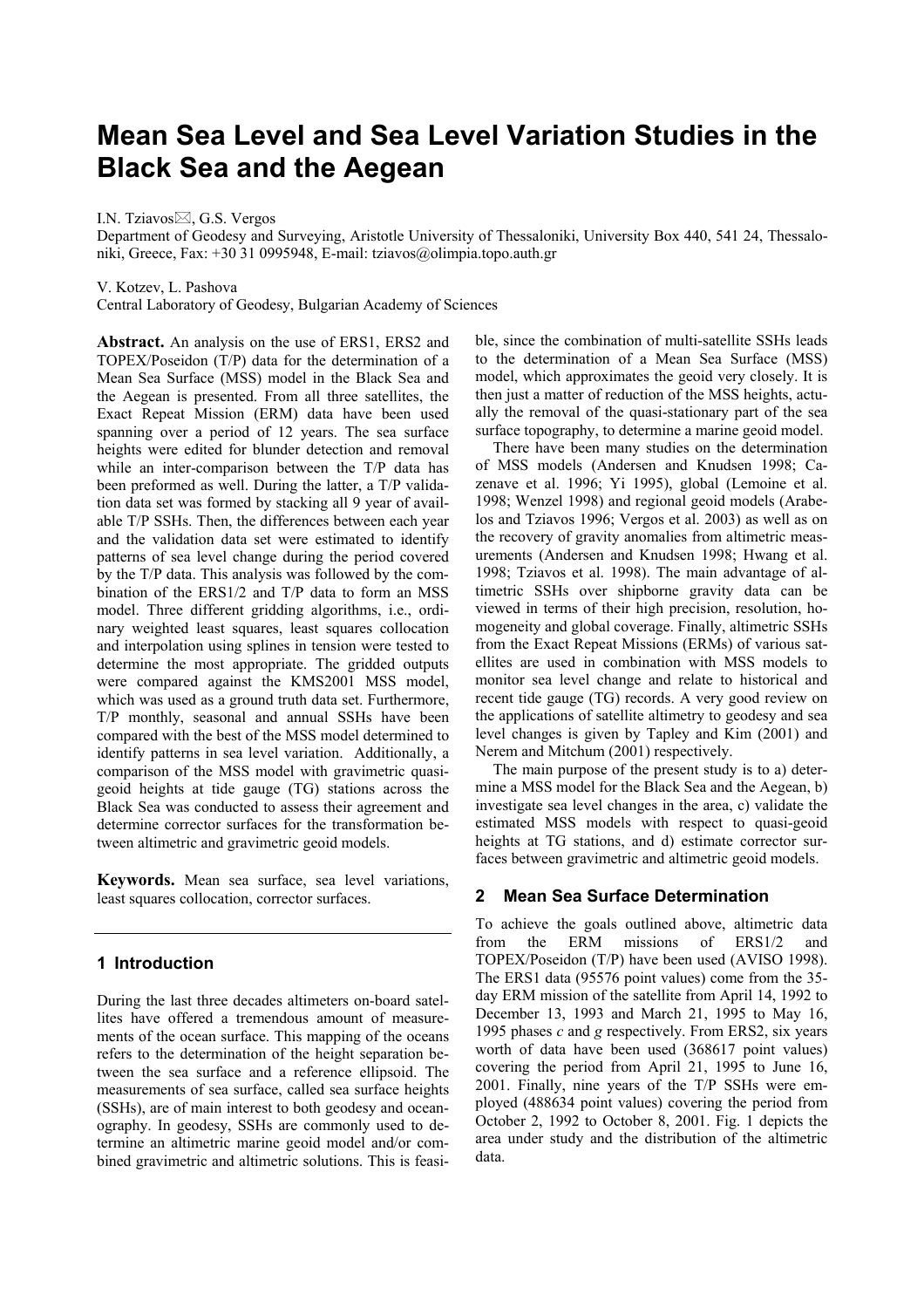# **Mean Sea Level and Sea Level Variation Studies in the Black Sea and the Aegean**

I.N. Tziavos⊠, G.S. Vergos

Department of Geodesy and Surveying, Aristotle University of Thessaloniki, University Box 440, 541 24, Thessaloniki, Greece, Fax: +30 31 0995948, E-mail: tziavos@olimpia.topo.auth.gr

#### V. Kotzev, L. Pashova

Central Laboratory of Geodesy, Bulgarian Academy of Sciences

**Abstract.** An analysis on the use of ERS1, ERS2 and TOPEX/Poseidon (T/P) data for the determination of a Mean Sea Surface (MSS) model in the Black Sea and the Aegean is presented. From all three satellites, the Exact Repeat Mission (ERM) data have been used spanning over a period of 12 years. The sea surface heights were edited for blunder detection and removal while an inter-comparison between the T/P data has been preformed as well. During the latter, a T/P validation data set was formed by stacking all 9 year of available T/P SSHs. Then, the differences between each year and the validation data set were estimated to identify patterns of sea level change during the period covered by the T/P data. This analysis was followed by the combination of the ERS1/2 and T/P data to form an MSS model. Three different gridding algorithms, i.e., ordinary weighted least squares, least squares collocation and interpolation using splines in tension were tested to determine the most appropriate. The gridded outputs were compared against the KMS2001 MSS model, which was used as a ground truth data set. Furthermore, T/P monthly, seasonal and annual SSHs have been compared with the best of the MSS model determined to identify patterns in sea level variation. Additionally, a comparison of the MSS model with gravimetric quasigeoid heights at tide gauge (TG) stations across the Black Sea was conducted to assess their agreement and determine corrector surfaces for the transformation between altimetric and gravimetric geoid models.

**Keywords.** Mean sea surface, sea level variations, least squares collocation, corrector surfaces.

## **1 Introduction**

During the last three decades altimeters on-board satellites have offered a tremendous amount of measurements of the ocean surface. This mapping of the oceans refers to the determination of the height separation between the sea surface and a reference ellipsoid. The measurements of sea surface, called sea surface heights (SSHs), are of main interest to both geodesy and oceanography. In geodesy, SSHs are commonly used to determine an altimetric marine geoid model and/or combined gravimetric and altimetric solutions. This is feasible, since the combination of multi-satellite SSHs leads to the determination of a Mean Sea Surface (MSS) model, which approximates the geoid very closely. It is then just a matter of reduction of the MSS heights, actually the removal of the quasi-stationary part of the sea surface topography, to determine a marine geoid model.

There have been many studies on the determination of MSS models (Andersen and Knudsen 1998; Cazenave et al. 1996; Yi 1995), global (Lemoine et al. 1998; Wenzel 1998) and regional geoid models (Arabelos and Tziavos 1996; Vergos et al. 2003) as well as on the recovery of gravity anomalies from altimetric measurements (Andersen and Knudsen 1998; Hwang et al. 1998; Tziavos et al. 1998). The main advantage of altimetric SSHs over shipborne gravity data can be viewed in terms of their high precision, resolution, homogeneity and global coverage. Finally, altimetric SSHs from the Exact Repeat Missions (ERMs) of various satellites are used in combination with MSS models to monitor sea level change and relate to historical and recent tide gauge (TG) records. A very good review on the applications of satellite altimetry to geodesy and sea level changes is given by Tapley and Kim (2001) and Nerem and Mitchum (2001) respectively.

The main purpose of the present study is to a) determine a MSS model for the Black Sea and the Aegean, b) investigate sea level changes in the area, c) validate the estimated MSS models with respect to quasi-geoid heights at TG stations, and d) estimate corrector surfaces between gravimetric and altimetric geoid models.

#### **2 Mean Sea Surface Determination**

To achieve the goals outlined above, altimetric data from the ERM missions of ERS1/2 and TOPEX/Poseidon (T/P) have been used (AVISO 1998). The ERS1 data (95576 point values) come from the 35 day ERM mission of the satellite from April 14, 1992 to December 13, 1993 and March 21, 1995 to May 16, 1995 phases *c* and *g* respectively. From ERS2, six years worth of data have been used (368617 point values) covering the period from April 21, 1995 to June 16, 2001. Finally, nine years of the T/P SSHs were employed (488634 point values) covering the period from October 2, 1992 to October 8, 2001. Fig. 1 depicts the area under study and the distribution of the altimetric data.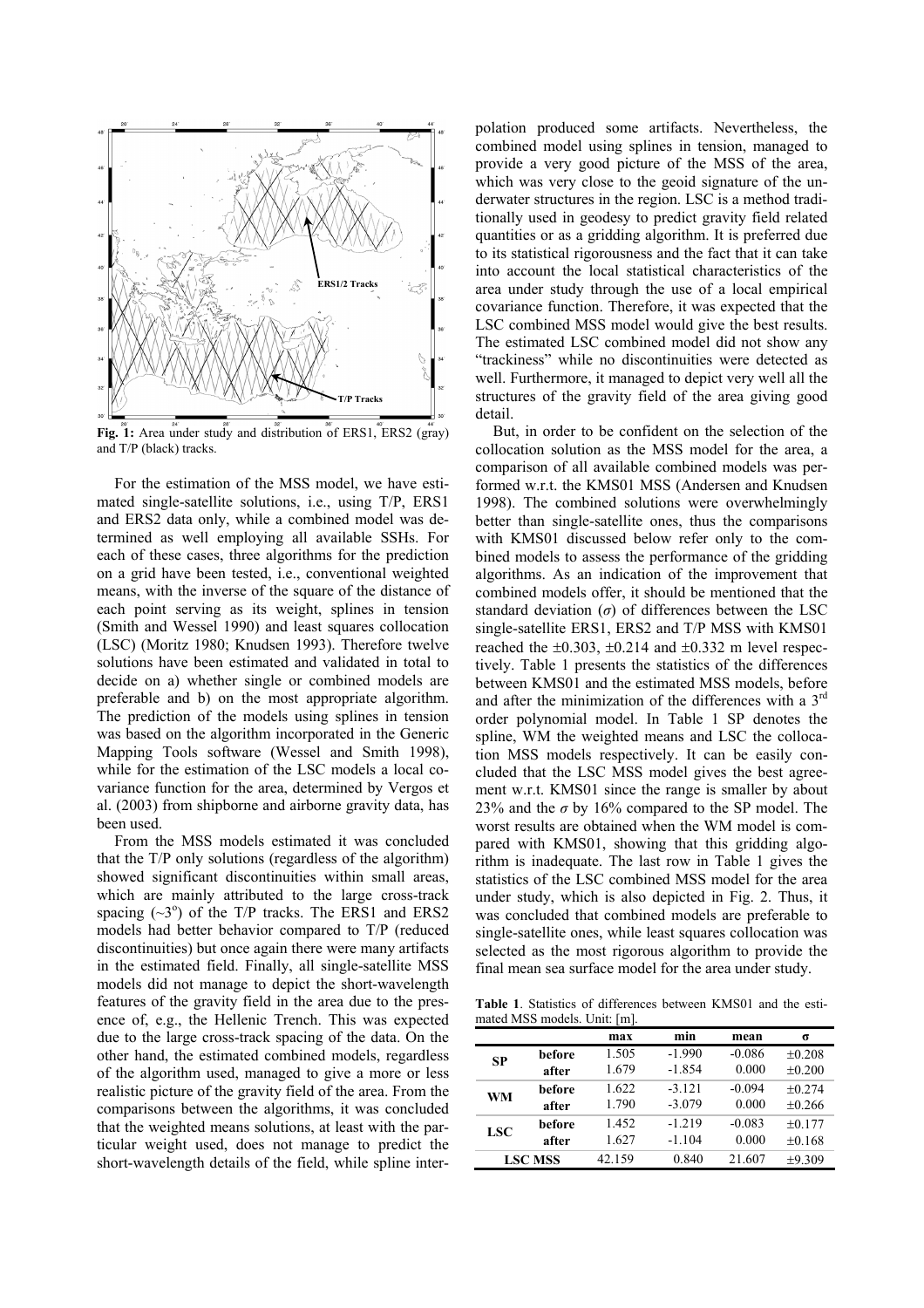

**Fig. 1:** Area under study and distribution of ERS1, ERS2 (gray) and T/P (black) tracks.

For the estimation of the MSS model, we have estimated single-satellite solutions, i.e., using T/P, ERS1 and ERS2 data only, while a combined model was determined as well employing all available SSHs. For each of these cases, three algorithms for the prediction on a grid have been tested, i.e., conventional weighted means, with the inverse of the square of the distance of each point serving as its weight, splines in tension (Smith and Wessel 1990) and least squares collocation (LSC) (Moritz 1980; Knudsen 1993). Therefore twelve solutions have been estimated and validated in total to decide on a) whether single or combined models are preferable and b) on the most appropriate algorithm. The prediction of the models using splines in tension was based on the algorithm incorporated in the Generic Mapping Tools software (Wessel and Smith 1998), while for the estimation of the LSC models a local covariance function for the area, determined by Vergos et al. (2003) from shipborne and airborne gravity data, has been used.

From the MSS models estimated it was concluded that the T/P only solutions (regardless of the algorithm) showed significant discontinuities within small areas, which are mainly attributed to the large cross-track spacing  $(\sim 3^{\circ})$  of the T/P tracks. The ERS1 and ERS2 models had better behavior compared to T/P (reduced discontinuities) but once again there were many artifacts in the estimated field. Finally, all single-satellite MSS models did not manage to depict the short-wavelength features of the gravity field in the area due to the presence of, e.g., the Hellenic Trench. This was expected due to the large cross-track spacing of the data. On the other hand, the estimated combined models, regardless of the algorithm used, managed to give a more or less realistic picture of the gravity field of the area. From the comparisons between the algorithms, it was concluded that the weighted means solutions, at least with the particular weight used, does not manage to predict the short-wavelength details of the field, while spline interpolation produced some artifacts. Nevertheless, the combined model using splines in tension, managed to provide a very good picture of the MSS of the area, which was very close to the geoid signature of the underwater structures in the region. LSC is a method traditionally used in geodesy to predict gravity field related quantities or as a gridding algorithm. It is preferred due to its statistical rigorousness and the fact that it can take into account the local statistical characteristics of the area under study through the use of a local empirical covariance function. Therefore, it was expected that the LSC combined MSS model would give the best results. The estimated LSC combined model did not show any "trackiness" while no discontinuities were detected as well. Furthermore, it managed to depict very well all the structures of the gravity field of the area giving good detail.

But, in order to be confident on the selection of the collocation solution as the MSS model for the area, a comparison of all available combined models was performed w.r.t. the KMS01 MSS (Andersen and Knudsen 1998). The combined solutions were overwhelmingly better than single-satellite ones, thus the comparisons with KMS01 discussed below refer only to the combined models to assess the performance of the gridding algorithms. As an indication of the improvement that combined models offer, it should be mentioned that the standard deviation  $(\sigma)$  of differences between the LSC single-satellite ERS1, ERS2 and T/P MSS with KMS01 reached the  $\pm 0.303$ ,  $\pm 0.214$  and  $\pm 0.332$  m level respectively. Table 1 presents the statistics of the differences between KMS01 and the estimated MSS models, before and after the minimization of the differences with a  $3<sup>rd</sup>$ order polynomial model. In Table 1 SP denotes the spline, WM the weighted means and LSC the collocation MSS models respectively. It can be easily concluded that the LSC MSS model gives the best agreement w.r.t. KMS01 since the range is smaller by about 23% and the  $\sigma$  by 16% compared to the SP model. The worst results are obtained when the WM model is compared with KMS01, showing that this gridding algorithm is inadequate. The last row in Table 1 gives the statistics of the LSC combined MSS model for the area under study, which is also depicted in Fig. 2. Thus, it was concluded that combined models are preferable to single-satellite ones, while least squares collocation was selected as the most rigorous algorithm to provide the final mean sea surface model for the area under study.

**Table 1**. Statistics of differences between KMS01 and the estimated MSS models. Unit: [m].

|                |        | max    | min      | mean     | σ           |
|----------------|--------|--------|----------|----------|-------------|
| SP             | before | 1.505  | $-1.990$ | $-0.086$ | $+0.208$    |
|                | after  | 1.679  | $-1.854$ | 0.000    | $\pm 0.200$ |
| WM             | before | 1.622  | $-3.121$ | $-0.094$ | $+0.274$    |
|                | after  | 1.790  | $-3.079$ | 0.000    | $+0.266$    |
| <b>LSC</b>     | before | 1.452  | $-1.219$ | $-0.083$ | ±0.177      |
|                | after  | 1.627  | $-1.104$ | 0.000    | ±0.168      |
| <b>LSC MSS</b> |        | 42.159 | 0.840    | 21.607   | $+9.309$    |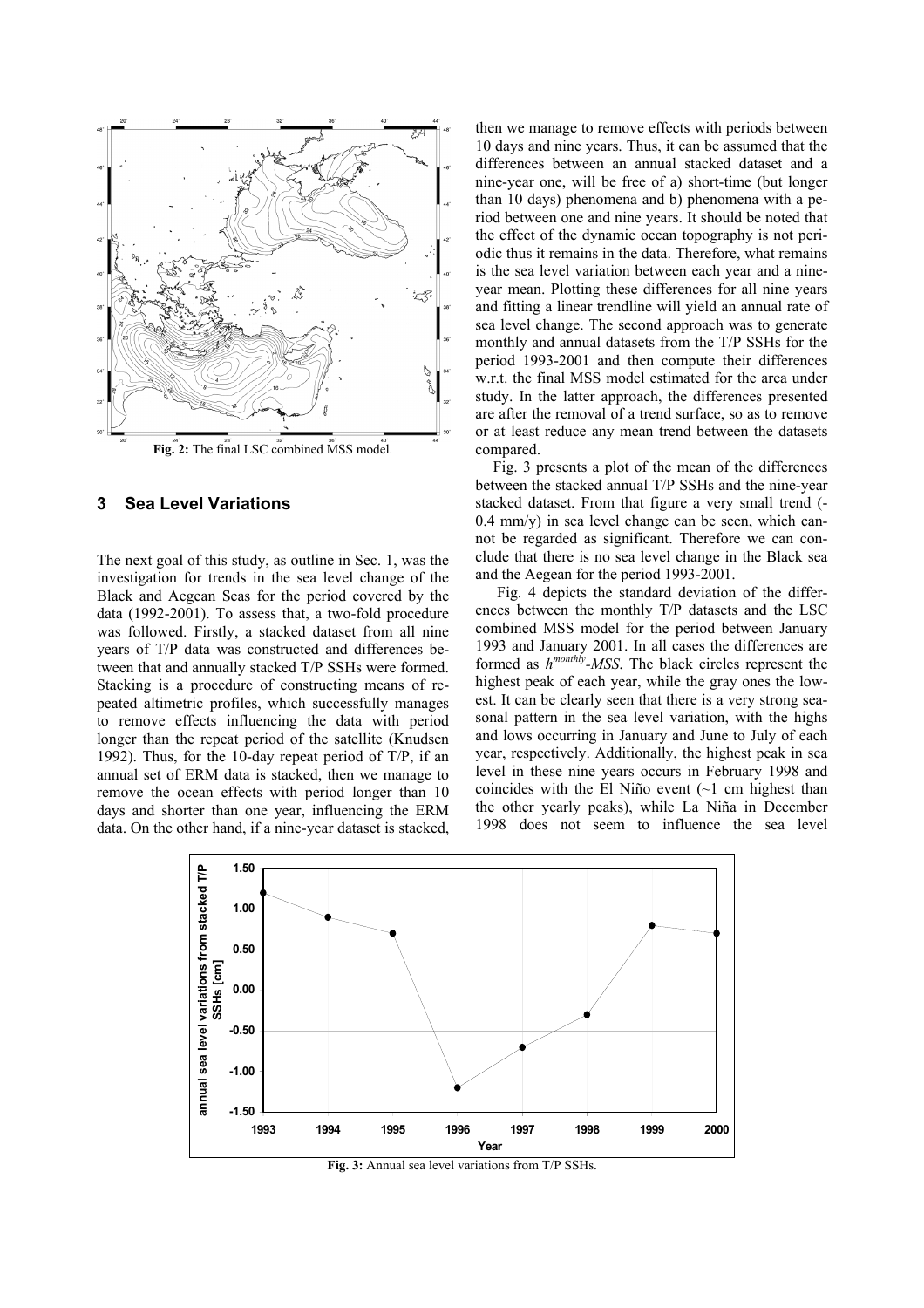

# **3 Sea Level Variations**

The next goal of this study, as outline in Sec. 1, was the investigation for trends in the sea level change of the Black and Aegean Seas for the period covered by the data (1992-2001). To assess that, a two-fold procedure was followed. Firstly, a stacked dataset from all nine years of T/P data was constructed and differences between that and annually stacked T/P SSHs were formed. Stacking is a procedure of constructing means of repeated altimetric profiles, which successfully manages to remove effects influencing the data with period longer than the repeat period of the satellite (Knudsen 1992). Thus, for the 10-day repeat period of T/P, if an annual set of ERM data is stacked, then we manage to remove the ocean effects with period longer than 10 days and shorter than one year, influencing the ERM data. On the other hand, if a nine-year dataset is stacked, then we manage to remove effects with periods between 10 days and nine years. Thus, it can be assumed that the differences between an annual stacked dataset and a nine-year one, will be free of a) short-time (but longer than 10 days) phenomena and b) phenomena with a period between one and nine years. It should be noted that the effect of the dynamic ocean topography is not periodic thus it remains in the data. Therefore, what remains is the sea level variation between each year and a nineyear mean. Plotting these differences for all nine years and fitting a linear trendline will yield an annual rate of sea level change. The second approach was to generate monthly and annual datasets from the T/P SSHs for the period 1993-2001 and then compute their differences w.r.t. the final MSS model estimated for the area under study. In the latter approach, the differences presented are after the removal of a trend surface, so as to remove or at least reduce any mean trend between the datasets compared.

Fig. 3 presents a plot of the mean of the differences between the stacked annual T/P SSHs and the nine-year stacked dataset. From that figure a very small trend (- 0.4 mm/y) in sea level change can be seen, which cannot be regarded as significant. Therefore we can conclude that there is no sea level change in the Black sea and the Aegean for the period 1993-2001.

 Fig. 4 depicts the standard deviation of the differences between the monthly T/P datasets and the LSC combined MSS model for the period between January 1993 and January 2001. In all cases the differences are formed as *hmonthly-MSS*. The black circles represent the highest peak of each year, while the gray ones the lowest. It can be clearly seen that there is a very strong seasonal pattern in the sea level variation, with the highs and lows occurring in January and June to July of each year, respectively. Additionally, the highest peak in sea level in these nine years occurs in February 1998 and coincides with the El Niño event  $(-1)$  cm highest than the other yearly peaks), while La Niña in December 1998 does not seem to influence the sea level



**Fig. 3:** Annual sea level variations from T/P SSHs.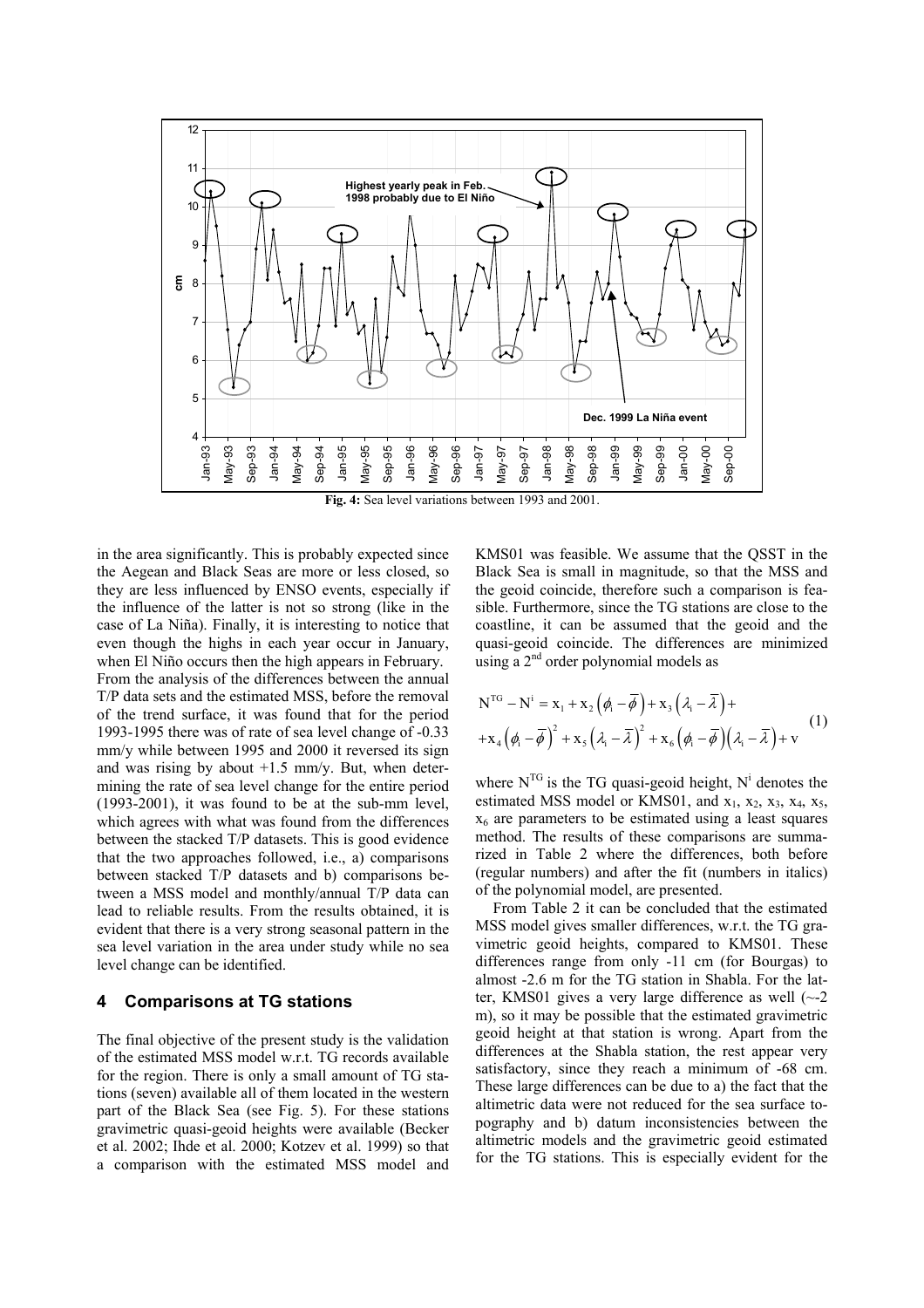

**Fig. 4:** Sea level variations between 1993 and 2001.

in the area significantly. This is probably expected since the Aegean and Black Seas are more or less closed, so they are less influenced by ENSO events, especially if the influence of the latter is not so strong (like in the case of La Niña). Finally, it is interesting to notice that even though the highs in each year occur in January, when El Niño occurs then the high appears in February.

From the analysis of the differences between the annual T/P data sets and the estimated MSS, before the removal of the trend surface, it was found that for the period 1993-1995 there was of rate of sea level change of -0.33 mm/y while between 1995 and 2000 it reversed its sign and was rising by about  $+1.5$  mm/y. But, when determining the rate of sea level change for the entire period (1993-2001), it was found to be at the sub-mm level, which agrees with what was found from the differences between the stacked T/P datasets. This is good evidence that the two approaches followed, i.e., a) comparisons between stacked T/P datasets and b) comparisons between a MSS model and monthly/annual T/P data can lead to reliable results. From the results obtained, it is evident that there is a very strong seasonal pattern in the sea level variation in the area under study while no sea level change can be identified.

## **4 Comparisons at TG stations**

The final objective of the present study is the validation of the estimated MSS model w.r.t. TG records available for the region. There is only a small amount of TG stations (seven) available all of them located in the western part of the Black Sea (see Fig. 5). For these stations gravimetric quasi-geoid heights were available (Becker et al. 2002; Ihde et al. 2000; Kotzev et al. 1999) so that a comparison with the estimated MSS model and KMS01 was feasible. We assume that the QSST in the Black Sea is small in magnitude, so that the MSS and the geoid coincide, therefore such a comparison is feasible. Furthermore, since the TG stations are close to the coastline, it can be assumed that the geoid and the quasi-geoid coincide. The differences are minimized using a  $2<sup>nd</sup>$  order polynomial models as

$$
N^{TG} - N^i = x_1 + x_2 (\phi_i - \overline{\phi}) + x_3 (\lambda_i - \overline{\lambda}) ++ x_4 (\phi_i - \overline{\phi})^2 + x_5 (\lambda_i - \overline{\lambda})^2 + x_6 (\phi_i - \overline{\phi}) (\lambda_i - \overline{\lambda}) + v
$$
(1)

where  $N^{TG}$  is the TG quasi-geoid height,  $N^i$  denotes the estimated MSS model or KMS01, and  $x_1$ ,  $x_2$ ,  $x_3$ ,  $x_4$ ,  $x_5$ ,  $x<sub>6</sub>$  are parameters to be estimated using a least squares method. The results of these comparisons are summarized in Table 2 where the differences, both before (regular numbers) and after the fit (numbers in italics) of the polynomial model, are presented.

From Table 2 it can be concluded that the estimated MSS model gives smaller differences, w.r.t. the TG gravimetric geoid heights, compared to KMS01. These differences range from only -11 cm (for Bourgas) to almost -2.6 m for the TG station in Shabla. For the latter, KMS01 gives a very large difference as well  $(\sim 2)$ m), so it may be possible that the estimated gravimetric geoid height at that station is wrong. Apart from the differences at the Shabla station, the rest appear very satisfactory, since they reach a minimum of -68 cm. These large differences can be due to a) the fact that the altimetric data were not reduced for the sea surface topography and b) datum inconsistencies between the altimetric models and the gravimetric geoid estimated for the TG stations. This is especially evident for the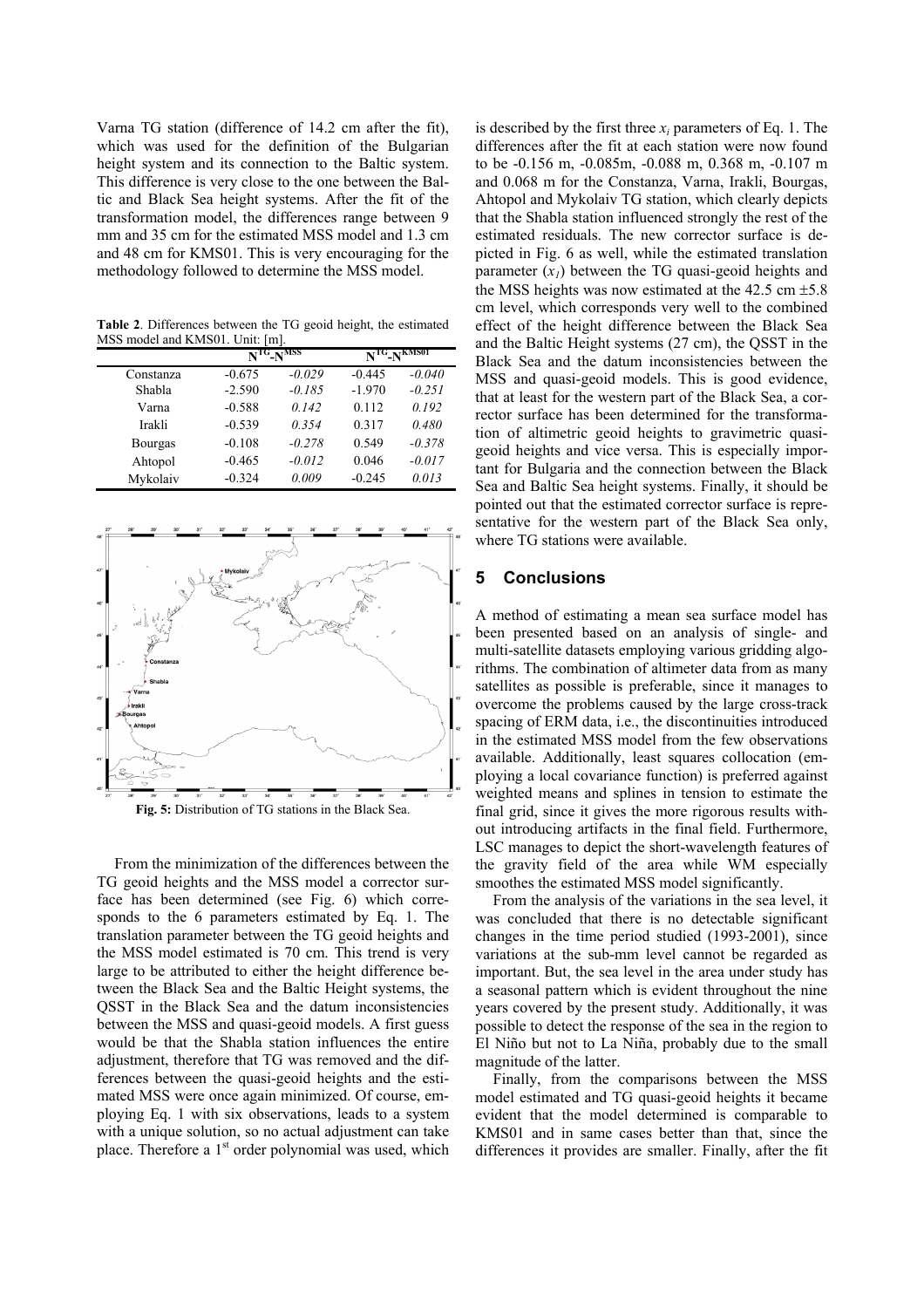Varna TG station (difference of 14.2 cm after the fit), which was used for the definition of the Bulgarian height system and its connection to the Baltic system. This difference is very close to the one between the Baltic and Black Sea height systems. After the fit of the transformation model, the differences range between 9 mm and 35 cm for the estimated MSS model and 1.3 cm and 48 cm for KMS01. This is very encouraging for the methodology followed to determine the MSS model.

**Table 2**. Differences between the TG geoid height, the estimated MSS model and KMS01. Unit: [m].

|                | $\mathbf{N}^{\text{TG}}$ NMSS |          | $N^{TG}$ N <sup>KMS01</sup> |          |
|----------------|-------------------------------|----------|-----------------------------|----------|
| Constanza      | $-0.675$                      | $-0.029$ | $-0.445$                    | $-0.040$ |
| Shabla         | $-2.590$                      | $-0.185$ | $-1.970$                    | $-0.251$ |
| Varna          | $-0.588$                      | 0.142    | 0.112                       | 0.192    |
| Irakli         | $-0.539$                      | 0.354    | 0.317                       | 0.480    |
| <b>Bourgas</b> | $-0.108$                      | $-0.278$ | 0.549                       | $-0.378$ |
| Ahtopol        | $-0.465$                      | $-0.012$ | 0.046                       | $-0.017$ |
| Mykolaiv       | $-0.324$                      | 0.009    | $-0.245$                    | 0.013    |



From the minimization of the differences between the TG geoid heights and the MSS model a corrector surface has been determined (see Fig. 6) which corresponds to the 6 parameters estimated by Eq. 1. The translation parameter between the TG geoid heights and the MSS model estimated is 70 cm. This trend is very large to be attributed to either the height difference between the Black Sea and the Baltic Height systems, the QSST in the Black Sea and the datum inconsistencies between the MSS and quasi-geoid models. A first guess would be that the Shabla station influences the entire adjustment, therefore that TG was removed and the differences between the quasi-geoid heights and the estimated MSS were once again minimized. Of course, employing Eq. 1 with six observations, leads to a system with a unique solution, so no actual adjustment can take place. Therefore a 1<sup>st</sup> order polynomial was used, which

is described by the first three  $x_i$  parameters of Eq. 1. The differences after the fit at each station were now found to be -0.156 m, -0.085m, -0.088 m, 0.368 m, -0.107 m and 0.068 m for the Constanza, Varna, Irakli, Bourgas, Ahtopol and Mykolaiv TG station, which clearly depicts that the Shabla station influenced strongly the rest of the estimated residuals. The new corrector surface is depicted in Fig. 6 as well, while the estimated translation parameter  $(x<sub>1</sub>)$  between the TG quasi-geoid heights and the MSS heights was now estimated at the  $42.5 \text{ cm } \pm 5.8$ cm level, which corresponds very well to the combined effect of the height difference between the Black Sea and the Baltic Height systems (27 cm), the QSST in the Black Sea and the datum inconsistencies between the MSS and quasi-geoid models. This is good evidence, that at least for the western part of the Black Sea, a corrector surface has been determined for the transformation of altimetric geoid heights to gravimetric quasigeoid heights and vice versa. This is especially important for Bulgaria and the connection between the Black Sea and Baltic Sea height systems. Finally, it should be pointed out that the estimated corrector surface is representative for the western part of the Black Sea only, where TG stations were available.

## **5 Conclusions**

A method of estimating a mean sea surface model has been presented based on an analysis of single- and multi-satellite datasets employing various gridding algorithms. The combination of altimeter data from as many satellites as possible is preferable, since it manages to overcome the problems caused by the large cross-track spacing of ERM data, i.e., the discontinuities introduced in the estimated MSS model from the few observations available. Additionally, least squares collocation (employing a local covariance function) is preferred against weighted means and splines in tension to estimate the final grid, since it gives the more rigorous results without introducing artifacts in the final field. Furthermore, LSC manages to depict the short-wavelength features of the gravity field of the area while WM especially smoothes the estimated MSS model significantly.

From the analysis of the variations in the sea level, it was concluded that there is no detectable significant changes in the time period studied (1993-2001), since variations at the sub-mm level cannot be regarded as important. But, the sea level in the area under study has a seasonal pattern which is evident throughout the nine years covered by the present study. Additionally, it was possible to detect the response of the sea in the region to El Niño but not to La Niña, probably due to the small magnitude of the latter.

Finally, from the comparisons between the MSS model estimated and TG quasi-geoid heights it became evident that the model determined is comparable to KMS01 and in same cases better than that, since the differences it provides are smaller. Finally, after the fit